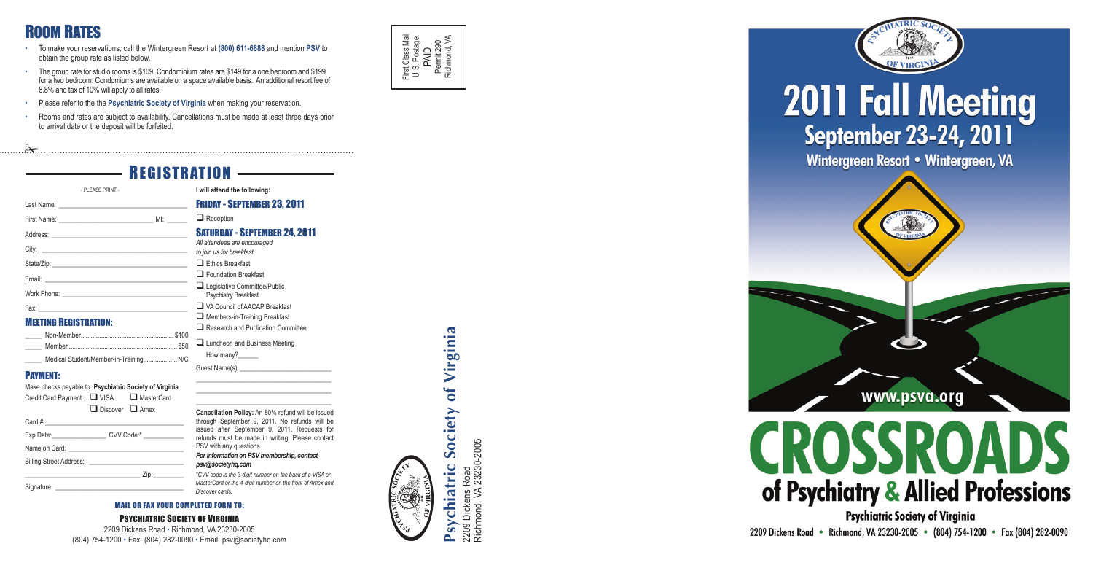## **I will attend the following:**

Friday - September 23, 2011

 $\Box$  Reception

| - PLEASE PRINT -                       |  |
|----------------------------------------|--|
|                                        |  |
|                                        |  |
|                                        |  |
|                                        |  |
|                                        |  |
|                                        |  |
|                                        |  |
|                                        |  |
| <b>MEETING REGISTRATION:</b>           |  |
|                                        |  |
|                                        |  |
| Medical Student/Member-in-Training N/C |  |
| <b>PAYMENT:</b>                        |  |

| All attendees are encouraged       |
|------------------------------------|
| to join us for breakfast.          |
| $\Box$ Ethics Breakfast            |
| $\Box$ Foundation Breakfast        |
| Legislative Committee/Public       |
| Psychiatry Breakfast               |
| VA Council of AACAP Breakfast      |
| Members-in-Training Breakfast      |
| Research and Publication Committee |
| I I Luncheon and Rusiness Meeting  |

 $\Box$  Luncheon and Business Meeting How many?

Guest Name(s):

\_\_\_\_\_\_\_\_\_\_\_\_\_\_\_\_\_\_\_\_\_\_\_\_\_\_\_\_\_\_\_\_\_\_\_\_\_\_\_\_ \_\_\_\_\_\_\_\_\_\_\_\_\_\_\_\_\_\_\_\_\_\_\_\_\_\_\_\_\_\_\_\_\_\_\_\_\_\_\_\_

#### Saturday - September 24, 2011 *All attendees are encouraged to join us for breakfast.*  $\Box$  Ethics Breakfast  $\Box$  Foundation Breakfast **Q** Legislative Committee/Public Psychiatry Breakfast A VA Council of AACAP Breakfast  $\Box$  Members-in-Training Breakfast Email: \_\_\_\_\_\_\_\_\_\_\_\_\_\_\_\_\_\_\_\_\_\_\_\_\_\_\_\_\_\_\_\_\_\_\_\_\_\_\_\_\_\_ Fax: \_\_\_\_\_\_\_\_\_\_\_\_\_\_\_\_\_\_\_\_\_\_\_\_\_\_\_\_\_\_\_\_\_\_\_\_\_\_\_\_\_\_\_\_ \_\_\_\_\_ Non-Member....................................................... \$100

2209 Dickens Road · Richmond, VA 23230-2005 · (804) 754-1200 · Fax (804) 282-0090 **AND THE PSYCHIATRIC SOCIETY OF VIRGINIA**

Make checks payable to: **Psychiatric Society of Virginia**  Credit Card Payment: Q VISA Q MasterCard Discover **Q** Amex Card  $#$ : Exp Date:\_\_\_\_\_\_\_\_\_\_\_\_\_\_\_\_\_\_\_\_\_ CVV Code:\*\_ Name on Card: Billing Street Address: \_\_\_\_\_\_\_\_\_\_\_\_\_\_\_\_\_\_\_\_\_\_\_\_\_\_\_\_\_\_\_\_\_\_ Zip:\_\_\_\_\_\_\_\_\_ **EXECUTES**<br>
The group rate as islest below.<br>
The group rate as islest below.<br>
The group rate as islest below.<br>
The group rate as islest below.<br>
The group rate as islest below.<br>
The group rate as islest below.<br>
The group ra

| Medical Student/Member-in-Training N/C |  |  |
|----------------------------------------|--|--|

\_\_\_\_\_\_\_\_\_\_\_\_\_\_\_\_\_\_\_\_\_\_\_\_\_\_\_\_\_\_\_\_\_\_\_\_\_\_\_\_ **Cancellation Policy:** An 80% refund will be issued through September 9, 2011. No refunds will be issued after September 9, 2011. Requests for refunds must be made in writing. Please contact PSV with any questions.

First Class Mail U.S. Postage PAID<br>Permit 290 Richmond, VA

> Road<br>23230-2005 Richmond, VA 23230-2005 2209 Dickens Road Dickens F<br>nond. VA 2209 Dicker<br>Richmond,







# **2011 Fall Meeting**<br>September 23-24, 2011

Wintergreen Resort • Wintergreen, VA





**Psychiatric Society of Virginia** 



#### *For information on PSV membership, contact psv@societyhq.com*

2209 Dickens Road • Richmond, VA 23230-2005 (804) 754-1200 • Fax: (804) 282-0090 • Email: psv@societyhq.com

- obtain the group rate as listed below.
- The group rate for studio rooms is \$109. Condominium rates are \$149 for a one bedroom and \$199 for a two bedroom. Condomiums are available on a space available basis. An additional resort fee of 8.8% and tax of 10% will apply to all rates.
- Please refer to the the **Psychiatric Society of Virginia** when making your reservation.
- Rooms and rates are subject to availability. Cancellations must be made at least three days prior to arrival date or the deposit will be forfeited.
- 

# **REGISTRATION**

*\*CVV code is the 3-digit number on the back of a VISA or MasterCard or the 4-digit number on the front of Amex and Discover cards.*

#### MAIL OR FAX YOUR COMPLETED FORM TO:

#### PSYCHIATRIC SOCIETY OF VIRGINIA